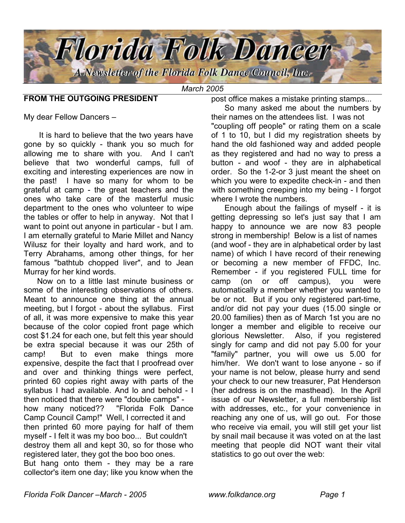

*March 2005*

### **FROM THE OUTGOING PRESIDENT**

post office makes a mistake printing stamps...

My dear Fellow Dancers –

 It is hard to believe that the two years have gone by so quickly - thank you so much for allowing me to share with you. And I can't believe that two wonderful camps, full of exciting and interesting experiences are now in the past! I have so many for whom to be grateful at camp - the great teachers and the ones who take care of the masterful music department to the ones who volunteer to wipe the tables or offer to help in anyway. Not that I want to point out anyone in particular - but I am. I am eternally grateful to Marie Millet and Nancy Wilusz for their loyalty and hard work, and to Terry Abrahams, among other things, for her famous "bathtub chopped liver", and to Jean Murray for her kind words.

 Now on to a little last minute business or some of the interesting observations of others. Meant to announce one thing at the annual meeting, but I forgot - about the syllabus. First of all, it was more expensive to make this year because of the color copied front page which cost \$1.24 for each one, but felt this year should be extra special because it was our 25th of camp! But to even make things more expensive, despite the fact that I proofread over and over and thinking things were perfect, printed 60 copies right away with parts of the syllabus I had available. And lo and behold - I then noticed that there were "double camps" how many noticed?? "Florida Folk Dance Camp Council Camp!" Well, I corrected it and then printed 60 more paying for half of them myself - I felt it was my boo boo... But couldn't destroy them all and kept 30, so for those who registered later, they got the boo boo ones. But hang onto them - they may be a rare collector's item one day; like you know when the

 So many asked me about the numbers by their names on the attendees list. I was not "coupling off people" or rating them on a scale of 1 to 10, but I did my registration sheets by hand the old fashioned way and added people as they registered and had no way to press a button - and woof - they are in alphabetical order. So the 1-2-or 3 just meant the sheet on which you were to expedite check-in - and then with something creeping into my being - I forgot where I wrote the numbers.

 Enough about the failings of myself - it is getting depressing so let's just say that I am happy to announce we are now 83 people strong in membership! Below is a list of names (and woof - they are in alphabetical order by last name) of which I have record of their renewing or becoming a new member of FFDC, Inc. Remember - if you registered FULL time for camp (on or off campus), you were automatically a member whether you wanted to be or not. But if you only registered part-time, and/or did not pay your dues (15.00 single or 20.00 families) then as of March 1st you are no longer a member and eligible to receive our glorious Newsletter. Also, if you registered singly for camp and did not pay 5.00 for your "family" partner, you will owe us 5.00 for him/her. We don't want to lose anyone - so if your name is not below, please hurry and send your check to our new treasurer, Pat Henderson (her address is on the masthead). In the April issue of our Newsletter, a full membership list with addresses, etc., for your convenience in reaching any one of us, will go out. For those who receive via email, you will still get your list by snail mail because it was voted on at the last meeting that people did NOT want their vital statistics to go out over the web: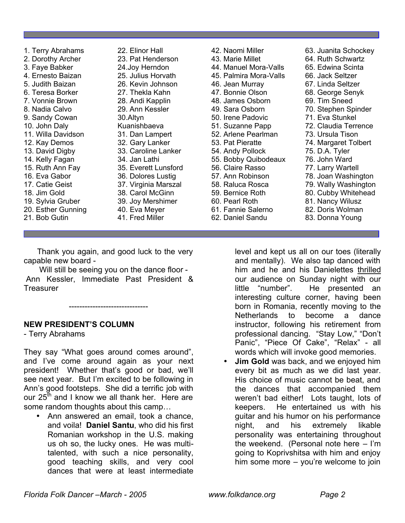- 1. Terry Abrahams 2. Dorothy Archer 3. Faye Babker 4. Ernesto Baizan 5. Judith Baizan 6. Teresa Borker 7. Vonnie Brown 8. Nadia Calvo 9. Sandy Cowan 10. John Daly 11. Willa Davidson 12. Kay Demos 13. David Digby 14. Kelly Fagan 15. Ruth Ann Fay 16. Eva Gabor 17. Catie Geist 18. Jim Gold 19. Sylvia Gruber 20. Esther Gunning 21. Bob Gutin
- 22. Elinor Hall 23. Pat Henderson 24.Joy Herndon 25. Julius Horvath 26. Kevin Johnson 27. Thekla Kahn 28. Andi Kapplin 29. Ann Kessler 30.Altyn Kuanishbaeva 31. Dan Lampert 32. Gary Lanker 33. Caroline Lanker 34. Jan Lathi 35. Everett Lunsford 36. Dolores Lustig 37. Virginia Marszal 38. Carol McGinn 39. Joy Mershimer 40. Eva Meyer 41. Fred Miller

 Thank you again, and good luck to the very capable new board -

 Will still be seeing you on the dance floor - Ann Kessler, Immediate Past President & **Treasurer** 

------------------------------

# **NEW PRESIDENT'S COLUMN**

- Terry Abrahams

They say "What goes around comes around", and I've come around again as your next president! Whether that's good or bad, we'll see next year. But I'm excited to be following in Ann's good footsteps. She did a terrific job with our  $25<sup>th</sup>$  and I know we all thank her. Here are some random thoughts about this camp…

• Ann answered an email, took a chance, and voila! **Daniel Santu**, who did his first Romanian workshop in the U.S. making us oh so, the lucky ones. He was multitalented, with such a nice personality, good teaching skills, and very cool dances that were at least intermediate

42. Naomi Miller 43. Marie Millet 44. Manuel Mora-Valls 45. Palmira Mora-Valls 46. Jean Murray 47. Bonnie Olson 48. James Osborn 49. Sara Osborn 50. Irene Padovic 51. Suzanne Papp 52. Arlene Pearlman 53. Pat Pieratte 54. Andy Pollock 55. Bobby Quibodeaux 56. Claire Rasso 57. Ann Robinson 58. Raluca Rosca 59. Bernice Roth 60. Pearl Roth 61. Fannie Salerno 62. Daniel Sandu

63. Juanita Schockey 64. Ruth Schwartz 65. Edwina Scinta 66. Jack Seltzer 67. Linda Seltzer 68. George Senyk 69. Tim Sneed 70. Stephen Spinder 71. Eva Stunkel 72. Claudia Terrence 73. Ursula Tison 74. Margaret Tolbert 75. D.A. Tyler 76. John Ward 77. Larry Wartell 78. Joan Washington 79. Wally Washington 80. Cubby Whitehead 81. Nancy Wilusz 82. Doris Wolman 83. Donna Young

level and kept us all on our toes (literally and mentally). We also tap danced with him and he and his Danielettes thrilled our audience on Sunday night with our little "number". He presented an interesting culture corner, having been born in Romania, recently moving to the Netherlands to become a dance instructor, following his retirement from professional dancing. "Stay Low," "Don't Panic", "Piece Of Cake", "Relax" - all words which will invoke good memories.

**Jim Gold** was back, and we enjoyed him every bit as much as we did last year. His choice of music cannot be beat, and the dances that accompanied them weren't bad either! Lots taught, lots of keepers. He entertained us with his guitar and his humor on his performance night, and his extremely likable personality was entertaining throughout the weekend. (Personal note here – I'm going to Koprivshitsa with him and enjoy him some more – you're welcome to join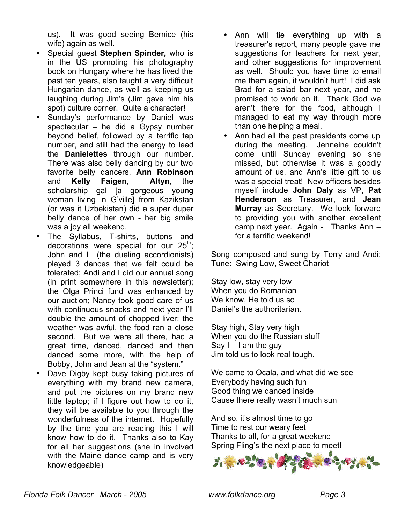us). It was good seeing Bernice (his wife) again as well.

- Special guest **Stephen Spinder,** who is in the US promoting his photography book on Hungary where he has lived the past ten years, also taught a very difficult Hungarian dance, as well as keeping us laughing during Jim's (Jim gave him his spot) culture corner. Quite a character!
- Sunday's performance by Daniel was spectacular – he did a Gypsy number beyond belief, followed by a terrific tap number, and still had the energy to lead the **Danielettes** through our number. There was also belly dancing by our two favorite belly dancers, **Ann Robinson** and **Kelly Faigen**, **Altyn**, the scholarship gal [a gorgeous young woman living in G'ville] from Kazikstan (or was it Uzbekistan) did a super duper belly dance of her own - her big smile was a joy all weekend.
- The Syllabus, T-shirts, buttons and decorations were special for our  $25^{th}$ ; John and I (the dueling accordionists) played 3 dances that we felt could be tolerated; Andi and I did our annual song (in print somewhere in this newsletter); the Olga Princi fund was enhanced by our auction; Nancy took good care of us with continuous snacks and next year I'll double the amount of chopped liver; the weather was awful, the food ran a close second. But we were all there, had a great time, danced, danced and then danced some more, with the help of Bobby, John and Jean at the "system."
- Dave Digby kept busy taking pictures of everything with my brand new camera, and put the pictures on my brand new little laptop; if I figure out how to do it, they will be available to you through the wonderfulness of the internet. Hopefully by the time you are reading this I will know how to do it. Thanks also to Kay for all her suggestions (she in involved with the Maine dance camp and is very knowledgeable)
- Ann will tie everything up with a treasurer's report, many people gave me suggestions for teachers for next year, and other suggestions for improvement as well. Should you have time to email me them again, it wouldn't hurt! I did ask Brad for a salad bar next year, and he promised to work on it. Thank God we aren't there for the food, although I managed to eat  $\frac{my}{my}$  way through more than one helping a meal.
- Ann had all the past presidents come up during the meeting. Jenneine couldn't come until Sunday evening so she missed, but otherwise it was a goodly amount of us, and Ann's little gift to us was a special treat! New officers besides myself include **John Daly** as VP, **Pat Henderson** as Treasurer, and **Jean Murray** as Secretary. We look forward to providing you with another excellent camp next year. Again - Thanks Ann – for a terrific weekend!

Song composed and sung by Terry and Andi: Tune: Swing Low, Sweet Chariot

Stay low, stay very low When you do Romanian We know, He told us so Daniel's the authoritarian.

Stay high, Stay very high When you do the Russian stuff Say  $I - I$  am the guy Jim told us to look real tough.

We came to Ocala, and what did we see Everybody having such fun Good thing we danced inside Cause there really wasn't much sun

And so, it's almost time to go Time to rest our weary feet Thanks to all, for a great weekend Spring Fling's the next place to meet!

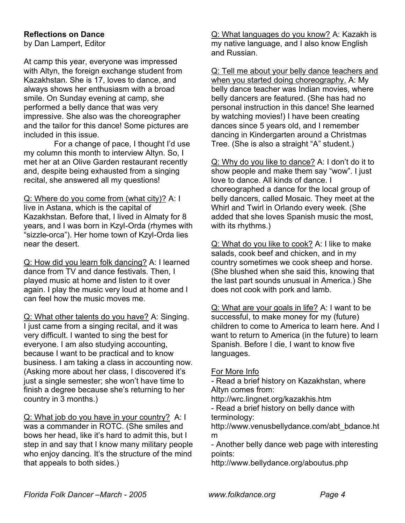# **Reflections on Dance**

by Dan Lampert, Editor

At camp this year, everyone was impressed with Altyn, the foreign exchange student from Kazakhstan. She is 17, loves to dance, and always shows her enthusiasm with a broad smile. On Sunday evening at camp, she performed a belly dance that was very impressive. She also was the choreographer and the tailor for this dance! Some pictures are included in this issue.

For a change of pace, I thought I'd use my column this month to interview Altyn. So, I met her at an Olive Garden restaurant recently and, despite being exhausted from a singing recital, she answered all my questions!

Q: Where do you come from (what city)? A: I live in Astana, which is the capital of Kazakhstan. Before that, I lived in Almaty for 8 years, and I was born in Kzyl-Orda (rhymes with "sizzle-orca"). Her home town of Kzyl-Orda lies near the desert.

Q: How did you learn folk dancing? A: I learned dance from TV and dance festivals. Then, I played music at home and listen to it over again. I play the music very loud at home and I can feel how the music moves me.

Q: What other talents do you have? A: Singing. I just came from a singing recital, and it was very difficult. I wanted to sing the best for everyone. I am also studying accounting, because I want to be practical and to know business. I am taking a class in accounting now. (Asking more about her class, I discovered it's just a single semester; she won't have time to finish a degree because she's returning to her country in 3 months.)

Q: What job do you have in your country? A: I was a commander in ROTC. (She smiles and bows her head, like it's hard to admit this, but I step in and say that I know many military people who enjoy dancing. It's the structure of the mind that appeals to both sides.)

Q: What languages do you know? A: Kazakh is my native language, and I also know English and Russian.

Q: Tell me about your belly dance teachers and when you started doing choreography. A: My belly dance teacher was Indian movies, where belly dancers are featured. (She has had no personal instruction in this dance! She learned by watching movies!) I have been creating dances since 5 years old, and I remember dancing in Kindergarten around a Christmas Tree. (She is also a straight "A" student.)

Q: Why do you like to dance? A: I don't do it to show people and make them say "wow". I just love to dance. All kinds of dance. I choreographed a dance for the local group of belly dancers, called Mosaic. They meet at the Whirl and Twirl in Orlando every week. (She added that she loves Spanish music the most, with its rhythms.)

Q: What do you like to cook? A: I like to make salads, cook beef and chicken, and in my country sometimes we cook sheep and horse. (She blushed when she said this, knowing that the last part sounds unusual in America.) She does not cook with pork and lamb.

Q: What are your goals in life? A: I want to be successful, to make money for my (future) children to come to America to learn here. And I want to return to America (in the future) to learn Spanish. Before I die, I want to know five languages.

### For More Info

- Read a brief history on Kazakhstan, where Altyn comes from:

http://wrc.lingnet.org/kazakhis.htm

- Read a brief history on belly dance with terminology:

http://www.venusbellydance.com/abt\_bdance.ht m

- Another belly dance web page with interesting points:

http://www.bellydance.org/aboutus.php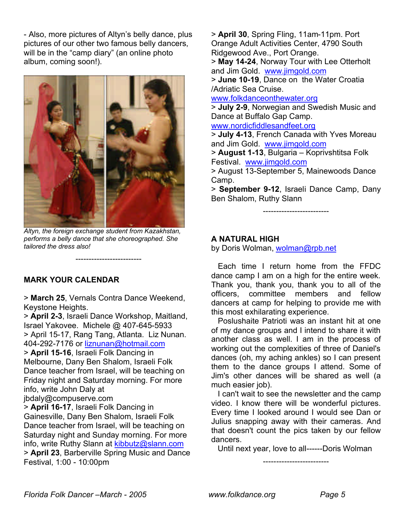- Also, more pictures of Altyn's belly dance, plus pictures of our other two famous belly dancers, will be in the "camp diary" (an online photo album, coming soon!).



*Altyn, the foreign exchange student from Kazakhstan, performs a belly dance that she choreographed. She tailored the dress also!*

**-------------------------**

# **MARK YOUR CALENDAR**

> **March 25**, Vernals Contra Dance Weekend, Keystone Heights.

> **April 2-3**, Israeli Dance Workshop, Maitland, Israel Yakovee. Michele @ 407-645-5933 > April 15-17, Rang Tang, Atlanta. Liz Nunan. 404-292-7176 or liznunan@hotmail.com > **April 15-16**, Israeli Folk Dancing in Melbourne, Dany Ben Shalom, Israeli Folk Dance teacher from Israel, will be teaching on Friday night and Saturday morning. For more info, write John Daly at jbdaly@compuserve.com > **April 16-17**, Israeli Folk Dancing in Gainesville, Dany Ben Shalom, Israeli Folk Dance teacher from Israel, will be teaching on

Saturday night and Sunday morning. For more info, write Ruthy Slann at kibbutz@slann.com

> **April 23**, Barberville Spring Music and Dance Festival, 1:00 - 10:00pm

> **April 30**, Spring Fling, 11am-11pm. Port Orange Adult Activities Center, 4790 South Ridgewood Ave., Port Orange. > **May 14-24**, Norway Tour with Lee Otterholt and Jim Gold. www.jimgold.com > **June 10-19**, Dance on the Water Croatia /Adriatic Sea Cruise. www.folkdanceonthewater.org > **July 2-9**, Norwegian and Swedish Music and Dance at Buffalo Gap Camp. www.nordicfiddlesandfeet.org > **July 4-13**, French Canada with Yves Moreau and Jim Gold. www.jimgold.com > **August 1-13**, Bulgaria – Koprivshtitsa Folk Festival. www.jimgold.com

> August 13-September 5, Mainewoods Dance Camp.

> **September 9-12**, Israeli Dance Camp, Dany Ben Shalom, Ruthy Slann

**-------------------------**

# **A NATURAL HIGH**

by Doris Wolman, wolman@rpb.net

 Each time I return home from the FFDC dance camp I am on a high for the entire week. Thank you, thank you, thank you to all of the officers, committee members and fellow dancers at camp for helping to provide me with this most exhilarating experience.

 Poslushaite Patrioti was an instant hit at one of my dance groups and I intend to share it with another class as well. I am in the process of working out the complexities of three of Daniel's dances (oh, my aching ankles) so I can present them to the dance groups I attend. Some of Jim's other dances will be shared as well (a much easier job).

 I can't wait to see the newsletter and the camp video. I know there will be wonderful pictures. Every time I looked around I would see Dan or Julius snapping away with their cameras. And that doesn't count the pics taken by our fellow dancers.

Until next year, love to all------Doris Wolman

**-------------------------**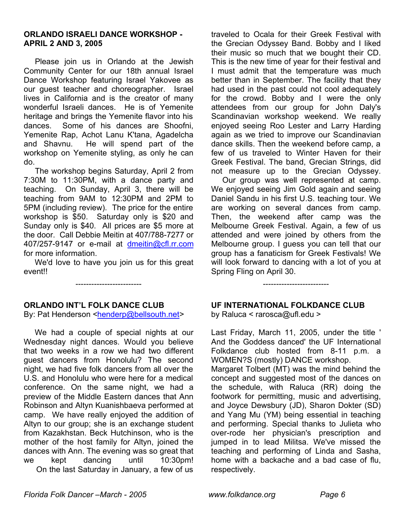### **ORLANDO ISRAELI DANCE WORKSHOP - APRIL 2 AND 3, 2005**

 Please join us in Orlando at the Jewish Community Center for our 18th annual Israel Dance Workshop featuring Israel Yakovee as our guest teacher and choreographer. Israel lives in California and is the creator of many wonderful Israeli dances. He is of Yemenite heritage and brings the Yemenite flavor into his dances. Some of his dances are Shoofni, Yemenite Rap, Achot Lanu K'tana, Agadelcha and Shavnu. He will spend part of the workshop on Yemenite styling, as only he can do.

 The workshop begins Saturday, April 2 from 7:30M to 11:30PM, with a dance party and teaching. On Sunday, April 3, there will be teaching from 9AM to 12:30PM and 2PM to 5PM (including review). The price for the entire workshop is \$50. Saturday only is \$20 and Sunday only is \$40. All prices are \$5 more at the door. Call Debbie Meitin at 407/788-7277 or 407/257-9147 or e-mail at dmeitin@cfl.rr.com for more information.

 We'd love to have you join us for this great event!!

**-------------------------**

### **ORLANDO INT'L FOLK DANCE CLUB**

By: Pat Henderson <henderp@bellsouth.net>

 We had a couple of special nights at our Wednesday night dances. Would you believe that two weeks in a row we had two different guest dancers from Honolulu? The second night, we had five folk dancers from all over the U.S. and Honolulu who were here for a medical conference. On the same night, we had a preview of the Middle Eastern dances that Ann Robinson and Altyn Kuanishbaeva performed at camp. We have really enjoyed the addition of Altyn to our group; she is an exchange student from Kazakhstan. Beck Hutchinson, who is the mother of the host family for Altyn, joined the dances with Ann. The evening was so great that we kept dancing until 10:30pm! On the last Saturday in January, a few of us traveled to Ocala for their Greek Festival with the Grecian Odyssey Band. Bobby and I liked their music so much that we bought their CD. This is the new time of year for their festival and I must admit that the temperature was much better than in September. The facility that they had used in the past could not cool adequately for the crowd. Bobby and I were the only attendees from our group for John Daly's Scandinavian workshop weekend. We really enjoyed seeing Roo Lester and Larry Harding again as we tried to improve our Scandinavian dance skills. Then the weekend before camp, a few of us traveled to Winter Haven for their Greek Festival. The band, Grecian Strings, did not measure up to the Grecian Odyssey.

 Our group was well represented at camp. We enjoyed seeing Jim Gold again and seeing Daniel Sandu in his first U.S. teaching tour. We are working on several dances from camp. Then, the weekend after camp was the Melbourne Greek Festival. Again, a few of us attended and were joined by others from the Melbourne group. I guess you can tell that our group has a fanaticism for Greek Festivals! We will look forward to dancing with a lot of you at Spring Fling on April 30.

# **UF INTERNATIONAL FOLKDANCE CLUB**

**-------------------------**

by Raluca < rarosca@ufl.edu >

Last Friday, March 11, 2005, under the title ' And the Goddess danced' the UF International Folkdance club hosted from 8-11 p.m. a WOMEN?S (mostly) DANCE workshop.

Margaret Tolbert (MT) was the mind behind the concept and suggested most of the dances on the schedule, with Raluca (RR) doing the footwork for permitting, music and advertising, and Joyce Dewsbury (JD), Sharon Dokter (SD) and Yang Mu (YM) being essential in teaching and performing. Special thanks to Julieta who over-rode her physician's prescription and jumped in to lead Militsa. We've missed the teaching and performing of Linda and Sasha, home with a backache and a bad case of flu, respectively.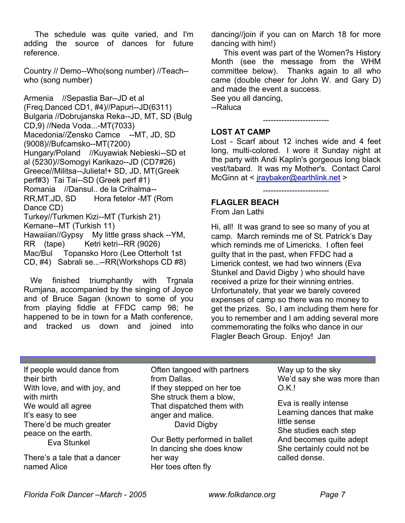The schedule was quite varied, and I'm adding the source of dances for future reference.

Country // Demo--Who(song number) //Teach- who (song number)

Armenia //Sepastia Bar--JD et al (Freq.Danced CD1, #4)//Papuri--JD(6311) Bulgaria //Dobrujanska Reka--JD, MT, SD (Bulg CD,9) //Neda Voda...-MT(7033) Macedonia//Zensko Camce --MT, JD, SD (9008)//Bufcamsko--MT(7200) Hungary/Poland //Kuyawiak Nebieski--SD et al (5230)//Somogyi Karikazo--JD (CD7#26) Greece//Militsa--Julieta!+ SD, JD, MT(Greek perf#3) Tai Tai--SD (Greek perf #1) Romania //Dansul.. de la Crihalma-- RR,MT,JD, SD Hora fetelor -MT (Rom Dance CD) Turkey//Turkmen Kizi--MT (Turkish 21) Kemane--MT (Turkish 11) Hawaiian//Gypsy My little grass shack --YM, RR (tape) Ketri ketri--RR (9026) Mac/Bul Topansko Horo (Lee Otterholt 1st CD, #4) Sabrali se...--RR(Workshops CD #8)

We finished triumphantly with Trgnala Rumjana, accompanied by the singing of Joyce and of Bruce Sagan (known to some of you from playing fiddle at FFDC camp 98; he happened to be in town for a Math conference, and tracked us down and joined into

dancing//join if you can on March 18 for more dancing with him!)

 This event was part of the Women?s History Month (see the message from the WHM committee below). Thanks again to all who came (double cheer for John W. and Gary D) and made the event a success.

See you all dancing, --Raluca

**-------------------------**

# **LOST AT CAMP**

Lost - Scarf about 12 inches wide and 4 feet long, multi-colored. I wore it Sunday night at the party with Andi Kaplin's gorgeous long black vest/tabard. It was my Mother's. Contact Carol McGinn at < jraybaker@earthlink.net >

**-------------------------**

# **FLAGLER BEACH**

From Jan Lathi

Hi, all! It was grand to see so many of you at camp. March reminds me of St. Patrick's Day which reminds me of Limericks. I often feel guilty that in the past, when FFDC had a Limerick contest, we had two winners (Eva Stunkel and David Digby ) who should have received a prize for their winning entries. Unfortunately, that year we barely covered expenses of camp so there was no money to get the prizes. So, I am including them here for you to remember and I am adding several more commemorating the folks who dance in our Flagler Beach Group. Enjoy! Jan

If people would dance from their birth With love, and with joy, and with mirth We would all agree It's easy to see There'd be much greater peace on the earth. Eva Stunkel

There's a tale that a dancer named Alice

Often tangoed with partners from Dallas. If they stepped on her toe She struck them a blow, That dispatched them with anger and malice. David Digby

Our Betty performed in ballet In dancing she does know her way Her toes often fly

Way up to the sky We'd say she was more than O.K.!

Eva is really intense Learning dances that make little sense She studies each step And becomes quite adept She certainly could not be called dense.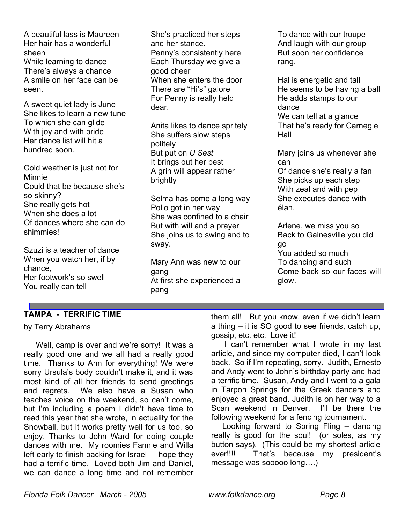A beautiful lass is Maureen Her hair has a wonderful sheen

While learning to dance There's always a chance A smile on her face can be seen.

A sweet quiet lady is June She likes to learn a new tune To which she can glide With joy and with pride Her dance list will hit a hundred soon.

Cold weather is just not for Minnie Could that be because she's so skinny? She really gets hot When she does a lot Of dances where she can do shimmies!

Szuzi is a teacher of dance When you watch her, if by chance, Her footwork's so swell You really can tell

She's practiced her steps and her stance. Penny's consistently here Each Thursday we give a good cheer When she enters the door There are "Hi's" galore For Penny is really held dear.

Anita likes to dance spritely She suffers slow steps politely But put on *U Sest* It brings out her best A grin will appear rather brightly

Selma has come a long way Polio got in her way She was confined to a chair But with will and a prayer She joins us to swing and to sway.

Mary Ann was new to our gang At first she experienced a pang

To dance with our troupe And laugh with our group But soon her confidence rang.

Hal is energetic and tall He seems to be having a ball He adds stamps to our dance We can tell at a glance That he's ready for Carnegie Hall

Mary joins us whenever she can

Of dance she's really a fan She picks up each step With zeal and with pep She executes dance with élan.

Arlene, we miss you so Back to Gainesville you did go You added so much To dancing and such Come back so our faces will glow.

# **TAMPA - TERRIFIC TIME**

### by Terry Abrahams

 Well, camp is over and we're sorry! It was a really good one and we all had a really good time. Thanks to Ann for everything! We were sorry Ursula's body couldn't make it, and it was most kind of all her friends to send greetings and regrets. We also have a Susan who teaches voice on the weekend, so can't come, but I'm including a poem I didn't have time to read this year that she wrote, in actuality for the Snowball, but it works pretty well for us too, so enjoy. Thanks to John Ward for doing couple dances with me. My roomies Fannie and Willa left early to finish packing for Israel – hope they had a terrific time. Loved both Jim and Daniel, we can dance a long time and not remember them all! But you know, even if we didn't learn a thing – it is SO good to see friends, catch up, gossip, etc. etc. Love it!

 I can't remember what I wrote in my last article, and since my computer died, I can't look back. So if I'm repeating, sorry. Judith, Ernesto and Andy went to John's birthday party and had a terrific time. Susan, Andy and I went to a gala in Tarpon Springs for the Greek dancers and enjoyed a great band. Judith is on her way to a Scan weekend in Denver. I'll be there the following weekend for a fencing tournament.

 Looking forward to Spring Fling – dancing really is good for the soul! (or soles, as my button says). (This could be my shortest article ever!!!! That's because my president's message was sooooo long….)